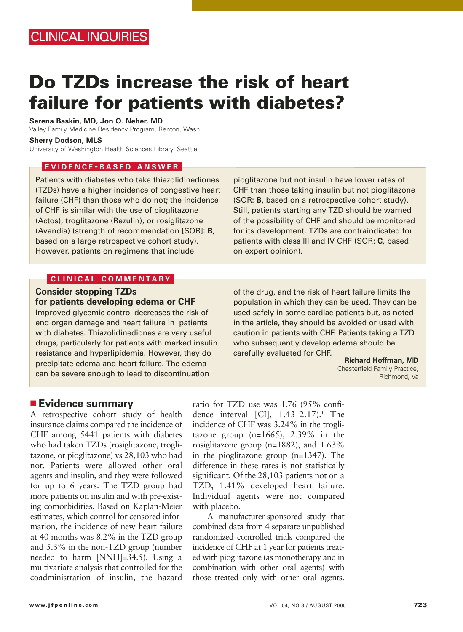# **Do TZDs increase the risk of heart failure for patients with diabetes?**

**Serena Baskin, MD, Jon O. Neher, MD**

Valley Family Medicine Residency Program, Renton, Wash

#### **Sherry Dodson, MLS**

University of Washington Health Sciences Library, Seattle

### **EVIDENCE - BASED ANSWER**

Patients with diabetes who take thiazolidinediones (TZDs) have a higher incidence of congestive heart failure (CHF) than those who do not; the incidence of CHF is similar with the use of pioglitazone (Actos), troglitazone (Rezulin), or rosiglitazone (Avandia) (strength of recommendation [SOR]: **B**, based on a large retrospective cohort study). However, patients on regimens that include

pioglitazone but not insulin have lower rates of CHF than those taking insulin but not pioglitazone (SOR: **B**, based on a retrospective cohort study). Still, patients starting any TZD should be warned of the possibility of CHF and should be monitored for its development. TZDs are contraindicated for patients with class III and IV CHF (SOR: **C**, based on expert opinion).

## **CLINICAL COMMENTARY**

**Consider stopping TZDs for patients developing edema or CHF**

Improved glycemic control decreases the risk of end organ damage and heart failure in patients with diabetes. Thiazolidinediones are very useful drugs, particularly for patients with marked insulin resistance and hyperlipidemia. However, they do precipitate edema and heart failure. The edema can be severe enough to lead to discontinuation

of the drug, and the risk of heart failure limits the population in which they can be used. They can be used safely in some cardiac patients but, as noted in the article, they should be avoided or used with caution in patients with CHF. Patients taking a TZD who subsequently develop edema should be carefully evaluated for CHF. **Richard Hoffman, MD**

Chesterfield Family Practice, Richmond, Va

## ■ **Evidence summary**

A retrospective cohort study of health insurance claims compared the incidence of CHF among 5441 patients with diabetes who had taken TZDs (rosiglitazone, troglitazone, or pioglitazone) vs 28,103 who had not. Patients were allowed other oral agents and insulin, and they were followed for up to 6 years. The TZD group had more patients on insulin and with pre-existing comorbidities. Based on Kaplan-Meier estimates, which control for censored information, the incidence of new heart failure at 40 months was 8.2% in the TZD group and 5.3% in the non-TZD group (number needed to harm [NNH]=34.5). Using a multivariate analysis that controlled for the coadministration of insulin, the hazard

ratio for TZD use was 1.76 (95% confidence interval  $\text{[CI]}, 1.43-2.17$ ).<sup>1</sup> The incidence of CHF was 3.24% in the troglitazone group  $(n=1665)$ , 2.39% in the rosiglitazone group (n=1882), and 1.63% in the pioglitazone group (n=1347). The difference in these rates is not statistically significant. Of the 28,103 patients not on a TZD, 1.41% developed heart failure. Individual agents were not compared with placebo.

A manufacturer-sponsored study that combined data from 4 separate unpublished randomized controlled trials compared the incidence of CHF at 1 year for patients treated with pioglitazone (as monotherapy and in combination with other oral agents) with those treated only with other oral agents.